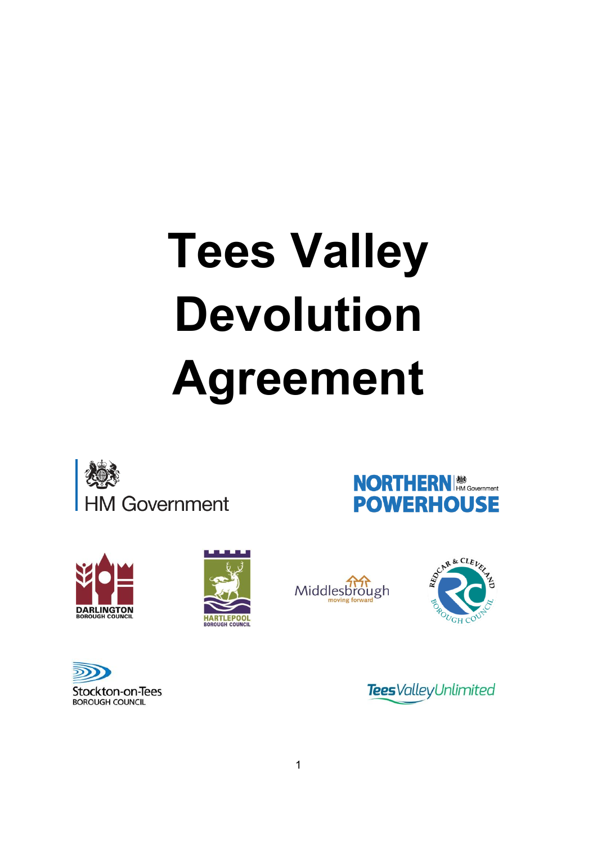# **Tees Valley Devolution Agreement**







Stockton-on-Tees **BOROUGH COUNCIL** 







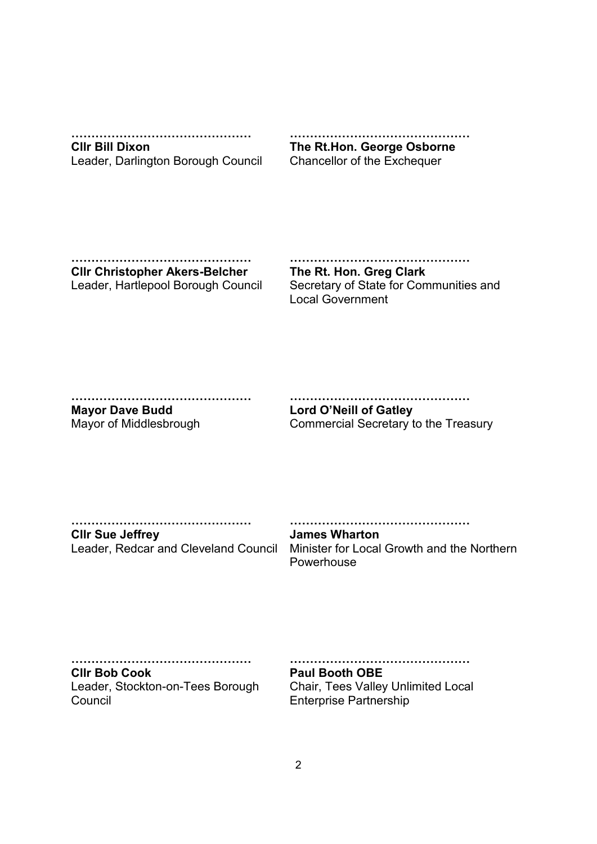**………………………………………**

**Cllr Bill Dixon** Leader, Darlington Borough Council

**……………………………………… The Rt.Hon. George Osborne**

Chancellor of the Exchequer

**……………………………………… Cllr Christopher Akers-Belcher** Leader, Hartlepool Borough Council **………………………………………**

**The Rt. Hon. Greg Clark** Secretary of State for Communities and Local Government

**………………………………………**

**Mayor Dave Budd** Mayor of Middlesbrough

**……………………………………… Lord O'Neill of Gatley**

Commercial Secretary to the Treasury

**………………………………………**

**Cllr Sue Jeffrey**

**………………………………………**

Leader, Redcar and Cleveland Council Minister for Local Growth and the Northern **James Wharton** Powerhouse

**………………………………………**

**Cllr Bob Cook** Leader, Stockton-on-Tees Borough Council

**………………………………………**

**Paul Booth OBE**

Chair, Tees Valley Unlimited Local Enterprise Partnership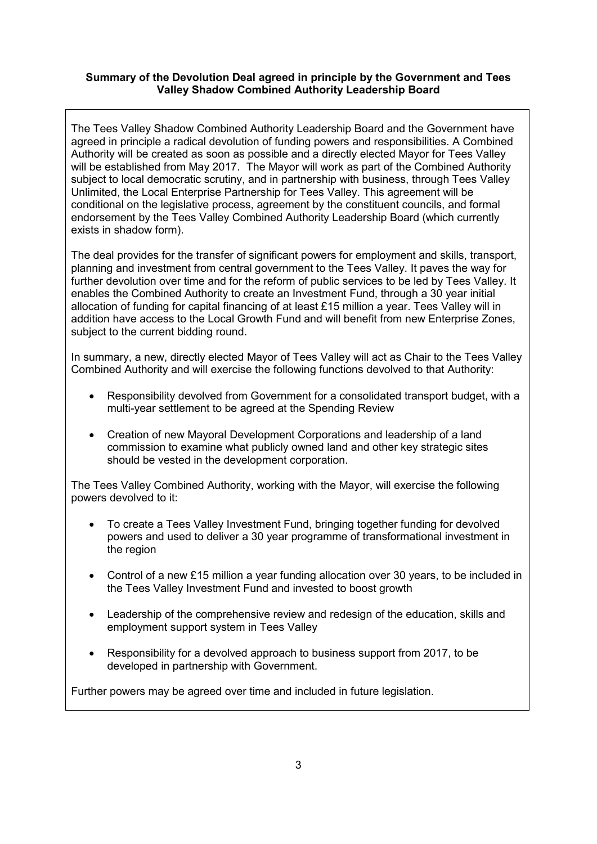# **Summary of the Devolution Deal agreed in principle by the Government and Tees Valley Shadow Combined Authority Leadership Board**

The Tees Valley Shadow Combined Authority Leadership Board and the Government have agreed in principle a radical devolution of funding powers and responsibilities. A Combined Authority will be created as soon as possible and a directly elected Mayor for Tees Valley will be established from May 2017. The Mayor will work as part of the Combined Authority subject to local democratic scrutiny, and in partnership with business, through Tees Valley Unlimited, the Local Enterprise Partnership for Tees Valley. This agreement will be conditional on the legislative process, agreement by the constituent councils, and formal endorsement by the Tees Valley Combined Authority Leadership Board (which currently exists in shadow form).

The deal provides for the transfer of significant powers for employment and skills, transport, planning and investment from central government to the Tees Valley. It paves the way for further devolution over time and for the reform of public services to be led by Tees Valley. It enables the Combined Authority to create an Investment Fund, through a 30 year initial allocation of funding for capital financing of at least £15 million a year. Tees Valley will in addition have access to the Local Growth Fund and will benefit from new Enterprise Zones, subject to the current bidding round.

In summary, a new, directly elected Mayor of Tees Valley will act as Chair to the Tees Valley Combined Authority and will exercise the following functions devolved to that Authority:

- Responsibility devolved from Government for a consolidated transport budget, with a multi-year settlement to be agreed at the Spending Review
- Creation of new Mayoral Development Corporations and leadership of a land commission to examine what publicly owned land and other key strategic sites should be vested in the development corporation.

The Tees Valley Combined Authority, working with the Mayor, will exercise the following powers devolved to it:

- To create a Tees Valley Investment Fund, bringing together funding for devolved powers and used to deliver a 30 year programme of transformational investment in the region
- Control of a new £15 million a year funding allocation over 30 years, to be included in the Tees Valley Investment Fund and invested to boost growth
- Leadership of the comprehensive review and redesign of the education, skills and employment support system in Tees Valley
- Responsibility for a devolved approach to business support from 2017, to be developed in partnership with Government.

Further powers may be agreed over time and included in future legislation.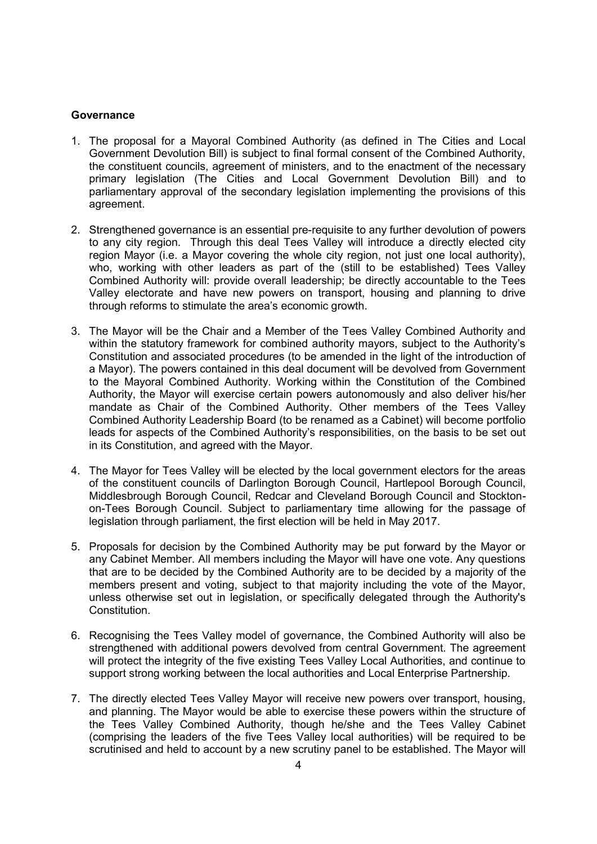#### **Governance**

- 1. The proposal for a Mayoral Combined Authority (as defined in The Cities and Local Government Devolution Bill) is subject to final formal consent of the Combined Authority, the constituent councils, agreement of ministers, and to the enactment of the necessary primary legislation (The Cities and Local Government Devolution Bill) and to parliamentary approval of the secondary legislation implementing the provisions of this agreement.
- 2. Strengthened governance is an essential pre-requisite to any further devolution of powers to any city region. Through this deal Tees Valley will introduce a directly elected city region Mayor (i.e. a Mayor covering the whole city region, not just one local authority), who, working with other leaders as part of the (still to be established) Tees Valley Combined Authority will: provide overall leadership; be directly accountable to the Tees Valley electorate and have new powers on transport, housing and planning to drive through reforms to stimulate the area's economic growth.
- 3. The Mayor will be the Chair and a Member of the Tees Valley Combined Authority and within the statutory framework for combined authority mayors, subject to the Authority's Constitution and associated procedures (to be amended in the light of the introduction of a Mayor). The powers contained in this deal document will be devolved from Government to the Mayoral Combined Authority. Working within the Constitution of the Combined Authority, the Mayor will exercise certain powers autonomously and also deliver his/her mandate as Chair of the Combined Authority. Other members of the Tees Valley Combined Authority Leadership Board (to be renamed as a Cabinet) will become portfolio leads for aspects of the Combined Authority's responsibilities, on the basis to be set out in its Constitution, and agreed with the Mayor.
- 4. The Mayor for Tees Valley will be elected by the local government electors for the areas of the constituent councils of Darlington Borough Council, Hartlepool Borough Council, Middlesbrough Borough Council, Redcar and Cleveland Borough Council and Stocktonon-Tees Borough Council. Subject to parliamentary time allowing for the passage of legislation through parliament, the first election will be held in May 2017.
- 5. Proposals for decision by the Combined Authority may be put forward by the Mayor or any Cabinet Member. All members including the Mayor will have one vote. Any questions that are to be decided by the Combined Authority are to be decided by a majority of the members present and voting, subject to that majority including the vote of the Mayor, unless otherwise set out in legislation, or specifically delegated through the Authority's **Constitution**
- 6. Recognising the Tees Valley model of governance, the Combined Authority will also be strengthened with additional powers devolved from central Government. The agreement will protect the integrity of the five existing Tees Valley Local Authorities, and continue to support strong working between the local authorities and Local Enterprise Partnership.
- 7. The directly elected Tees Valley Mayor will receive new powers over transport, housing, and planning. The Mayor would be able to exercise these powers within the structure of the Tees Valley Combined Authority, though he/she and the Tees Valley Cabinet (comprising the leaders of the five Tees Valley local authorities) will be required to be scrutinised and held to account by a new scrutiny panel to be established. The Mayor will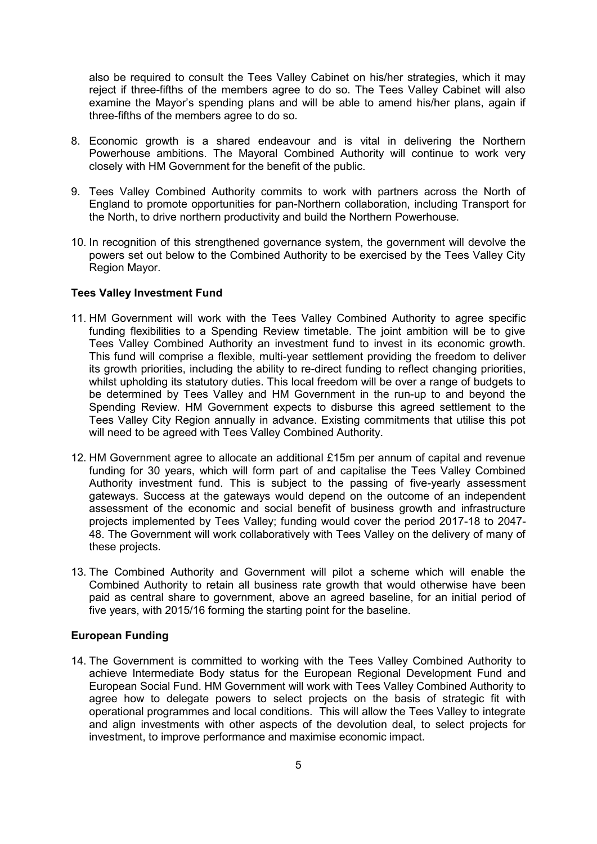also be required to consult the Tees Valley Cabinet on his/her strategies, which it may reject if three-fifths of the members agree to do so. The Tees Valley Cabinet will also examine the Mayor's spending plans and will be able to amend his/her plans, again if three-fifths of the members agree to do so.

- 8. Economic growth is a shared endeavour and is vital in delivering the Northern Powerhouse ambitions. The Mayoral Combined Authority will continue to work very closely with HM Government for the benefit of the public.
- 9. Tees Valley Combined Authority commits to work with partners across the North of England to promote opportunities for pan-Northern collaboration, including Transport for the North, to drive northern productivity and build the Northern Powerhouse.
- 10. In recognition of this strengthened governance system, the government will devolve the powers set out below to the Combined Authority to be exercised by the Tees Valley City Region Mayor.

#### **Tees Valley Investment Fund**

- 11. HM Government will work with the Tees Valley Combined Authority to agree specific funding flexibilities to a Spending Review timetable. The joint ambition will be to give Tees Valley Combined Authority an investment fund to invest in its economic growth. This fund will comprise a flexible, multi-year settlement providing the freedom to deliver its growth priorities, including the ability to re-direct funding to reflect changing priorities, whilst upholding its statutory duties. This local freedom will be over a range of budgets to be determined by Tees Valley and HM Government in the run-up to and beyond the Spending Review. HM Government expects to disburse this agreed settlement to the Tees Valley City Region annually in advance. Existing commitments that utilise this pot will need to be agreed with Tees Valley Combined Authority.
- 12. HM Government agree to allocate an additional £15m per annum of capital and revenue funding for 30 years, which will form part of and capitalise the Tees Valley Combined Authority investment fund. This is subject to the passing of five-yearly assessment gateways. Success at the gateways would depend on the outcome of an independent assessment of the economic and social benefit of business growth and infrastructure projects implemented by Tees Valley; funding would cover the period 2017-18 to 2047- 48. The Government will work collaboratively with Tees Valley on the delivery of many of these projects.
- 13. The Combined Authority and Government will pilot a scheme which will enable the Combined Authority to retain all business rate growth that would otherwise have been paid as central share to government, above an agreed baseline, for an initial period of five years, with 2015/16 forming the starting point for the baseline.

#### **European Funding**

14. The Government is committed to working with the Tees Valley Combined Authority to achieve Intermediate Body status for the European Regional Development Fund and European Social Fund. HM Government will work with Tees Valley Combined Authority to agree how to delegate powers to select projects on the basis of strategic fit with operational programmes and local conditions. This will allow the Tees Valley to integrate and align investments with other aspects of the devolution deal, to select projects for investment, to improve performance and maximise economic impact.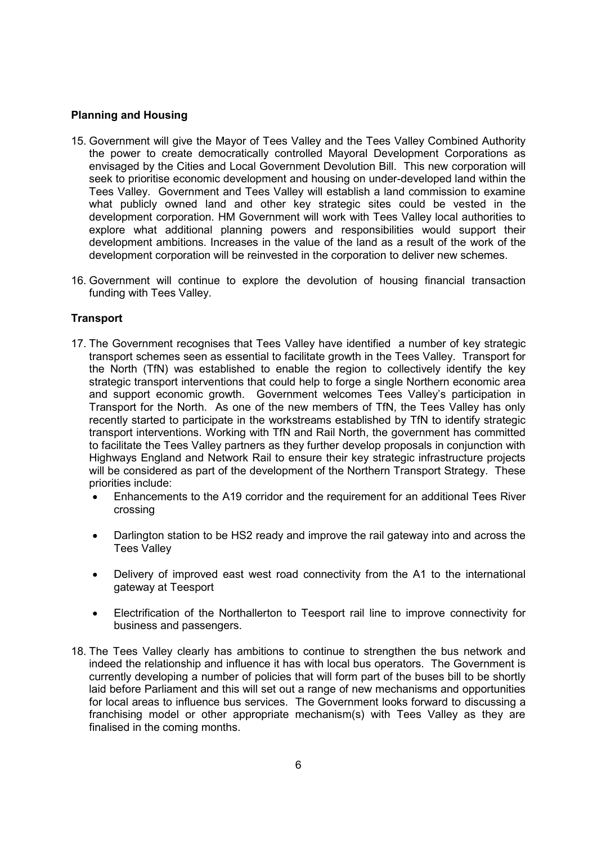### **Planning and Housing**

- 15. Government will give the Mayor of Tees Valley and the Tees Valley Combined Authority the power to create democratically controlled Mayoral Development Corporations as envisaged by the Cities and Local Government Devolution Bill. This new corporation will seek to prioritise economic development and housing on under-developed land within the Tees Valley. Government and Tees Valley will establish a land commission to examine what publicly owned land and other key strategic sites could be vested in the development corporation. HM Government will work with Tees Valley local authorities to explore what additional planning powers and responsibilities would support their development ambitions. Increases in the value of the land as a result of the work of the development corporation will be reinvested in the corporation to deliver new schemes.
- 16. Government will continue to explore the devolution of housing financial transaction funding with Tees Valley.

## **Transport**

- 17. The Government recognises that Tees Valley have identified a number of key strategic transport schemes seen as essential to facilitate growth in the Tees Valley. Transport for the North (TfN) was established to enable the region to collectively identify the key strategic transport interventions that could help to forge a single Northern economic area and support economic growth. Government welcomes Tees Valley's participation in Transport for the North. As one of the new members of TfN, the Tees Valley has only recently started to participate in the workstreams established by TfN to identify strategic transport interventions. Working with TfN and Rail North, the government has committed to facilitate the Tees Valley partners as they further develop proposals in conjunction with Highways England and Network Rail to ensure their key strategic infrastructure projects will be considered as part of the development of the Northern Transport Strategy. These priorities include:
	- Enhancements to the A19 corridor and the requirement for an additional Tees River crossing
	- Darlington station to be HS2 ready and improve the rail gateway into and across the Tees Valley
	- Delivery of improved east west road connectivity from the A1 to the international gateway at Teesport
	- Electrification of the Northallerton to Teesport rail line to improve connectivity for business and passengers.
- 18. The Tees Valley clearly has ambitions to continue to strengthen the bus network and indeed the relationship and influence it has with local bus operators. The Government is currently developing a number of policies that will form part of the buses bill to be shortly laid before Parliament and this will set out a range of new mechanisms and opportunities for local areas to influence bus services. The Government looks forward to discussing a franchising model or other appropriate mechanism(s) with Tees Valley as they are finalised in the coming months.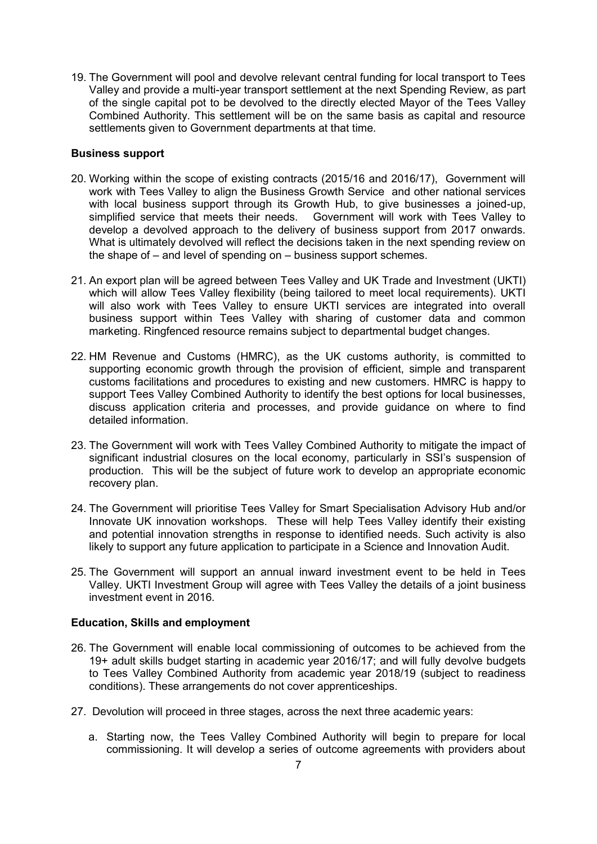19. The Government will pool and devolve relevant central funding for local transport to Tees Valley and provide a multi-year transport settlement at the next Spending Review, as part of the single capital pot to be devolved to the directly elected Mayor of the Tees Valley Combined Authority. This settlement will be on the same basis as capital and resource settlements given to Government departments at that time.

## **Business support**

- 20. Working within the scope of existing contracts (2015/16 and 2016/17), Government will work with Tees Valley to align the Business Growth Service and other national services with local business support through its Growth Hub, to give businesses a joined-up, simplified service that meets their needs. Government will work with Tees Valley to develop a devolved approach to the delivery of business support from 2017 onwards. What is ultimately devolved will reflect the decisions taken in the next spending review on the shape of – and level of spending on – business support schemes.
- 21. An export plan will be agreed between Tees Valley and UK Trade and Investment (UKTI) which will allow Tees Valley flexibility (being tailored to meet local requirements). UKTI will also work with Tees Valley to ensure UKTI services are integrated into overall business support within Tees Valley with sharing of customer data and common marketing. Ringfenced resource remains subject to departmental budget changes.
- 22. HM Revenue and Customs (HMRC), as the UK customs authority, is committed to supporting economic growth through the provision of efficient, simple and transparent customs facilitations and procedures to existing and new customers. HMRC is happy to support Tees Valley Combined Authority to identify the best options for local businesses, discuss application criteria and processes, and provide guidance on where to find detailed information.
- 23. The Government will work with Tees Valley Combined Authority to mitigate the impact of significant industrial closures on the local economy, particularly in SSI's suspension of production. This will be the subject of future work to develop an appropriate economic recovery plan.
- 24. The Government will prioritise Tees Valley for Smart Specialisation Advisory Hub and/or Innovate UK innovation workshops. These will help Tees Valley identify their existing and potential innovation strengths in response to identified needs. Such activity is also likely to support any future application to participate in a Science and Innovation Audit.
- 25. The Government will support an annual inward investment event to be held in Tees Valley. UKTI Investment Group will agree with Tees Valley the details of a joint business investment event in 2016.

# **Education, Skills and employment**

- 26. The Government will enable local commissioning of outcomes to be achieved from the 19+ adult skills budget starting in academic year 2016/17; and will fully devolve budgets to Tees Valley Combined Authority from academic year 2018/19 (subject to readiness conditions). These arrangements do not cover apprenticeships.
- 27. Devolution will proceed in three stages, across the next three academic years:
	- a. Starting now, the Tees Valley Combined Authority will begin to prepare for local commissioning. It will develop a series of outcome agreements with providers about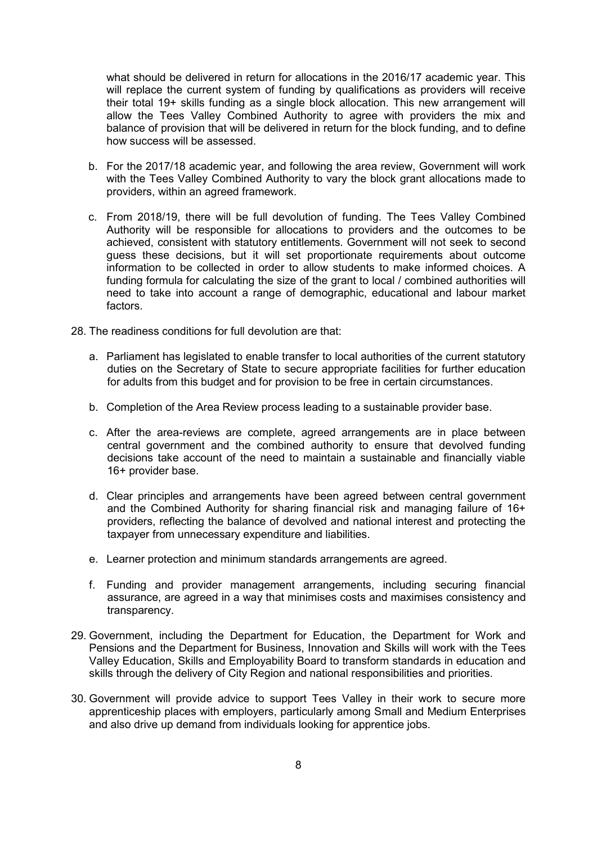what should be delivered in return for allocations in the 2016/17 academic year. This will replace the current system of funding by qualifications as providers will receive their total 19+ skills funding as a single block allocation. This new arrangement will allow the Tees Valley Combined Authority to agree with providers the mix and balance of provision that will be delivered in return for the block funding, and to define how success will be assessed.

- b. For the 2017/18 academic year, and following the area review, Government will work with the Tees Valley Combined Authority to vary the block grant allocations made to providers, within an agreed framework.
- c. From 2018/19, there will be full devolution of funding. The Tees Valley Combined Authority will be responsible for allocations to providers and the outcomes to be achieved, consistent with statutory entitlements. Government will not seek to second guess these decisions, but it will set proportionate requirements about outcome information to be collected in order to allow students to make informed choices. A funding formula for calculating the size of the grant to local / combined authorities will need to take into account a range of demographic, educational and labour market factors.
- 28. The readiness conditions for full devolution are that:
	- a. Parliament has legislated to enable transfer to local authorities of the current statutory duties on the Secretary of State to secure appropriate facilities for further education for adults from this budget and for provision to be free in certain circumstances.
	- b. Completion of the Area Review process leading to a sustainable provider base.
	- c. After the area-reviews are complete, agreed arrangements are in place between central government and the combined authority to ensure that devolved funding decisions take account of the need to maintain a sustainable and financially viable 16+ provider base.
	- d. Clear principles and arrangements have been agreed between central government and the Combined Authority for sharing financial risk and managing failure of 16+ providers, reflecting the balance of devolved and national interest and protecting the taxpayer from unnecessary expenditure and liabilities.
	- e. Learner protection and minimum standards arrangements are agreed.
	- f. Funding and provider management arrangements, including securing financial assurance, are agreed in a way that minimises costs and maximises consistency and transparency.
- 29. Government, including the Department for Education, the Department for Work and Pensions and the Department for Business, Innovation and Skills will work with the Tees Valley Education, Skills and Employability Board to transform standards in education and skills through the delivery of City Region and national responsibilities and priorities.
- 30. Government will provide advice to support Tees Valley in their work to secure more apprenticeship places with employers, particularly among Small and Medium Enterprises and also drive up demand from individuals looking for apprentice jobs.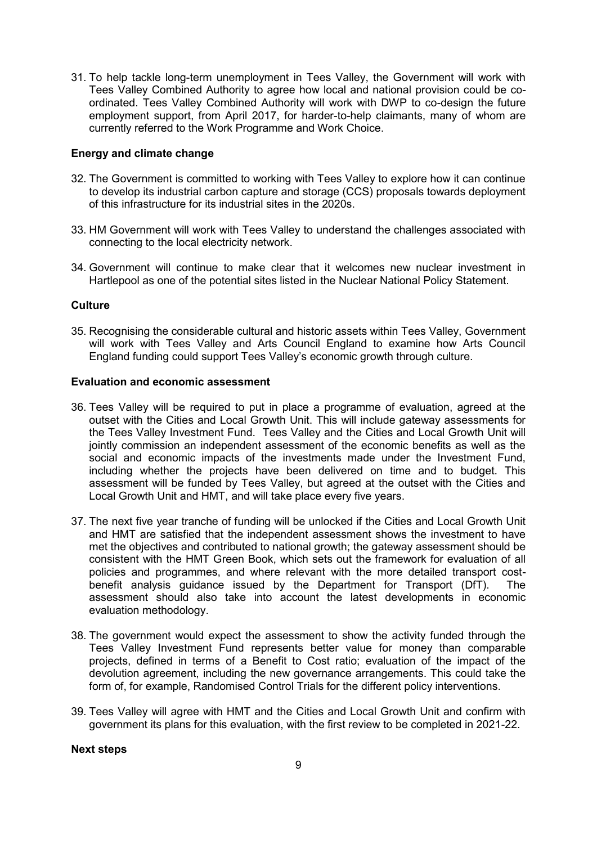31. To help tackle long-term unemployment in Tees Valley, the Government will work with Tees Valley Combined Authority to agree how local and national provision could be coordinated. Tees Valley Combined Authority will work with DWP to co-design the future employment support, from April 2017, for harder-to-help claimants, many of whom are currently referred to the Work Programme and Work Choice.

## **Energy and climate change**

- 32. The Government is committed to working with Tees Valley to explore how it can continue to develop its industrial carbon capture and storage (CCS) proposals towards deployment of this infrastructure for its industrial sites in the 2020s.
- 33. HM Government will work with Tees Valley to understand the challenges associated with connecting to the local electricity network.
- 34. Government will continue to make clear that it welcomes new nuclear investment in Hartlepool as one of the potential sites listed in the Nuclear National Policy Statement.

## **Culture**

35. Recognising the considerable cultural and historic assets within Tees Valley, Government will work with Tees Valley and Arts Council England to examine how Arts Council England funding could support Tees Valley's economic growth through culture.

## **Evaluation and economic assessment**

- 36. Tees Valley will be required to put in place a programme of evaluation, agreed at the outset with the Cities and Local Growth Unit. This will include gateway assessments for the Tees Valley Investment Fund. Tees Valley and the Cities and Local Growth Unit will jointly commission an independent assessment of the economic benefits as well as the social and economic impacts of the investments made under the Investment Fund, including whether the projects have been delivered on time and to budget. This assessment will be funded by Tees Valley, but agreed at the outset with the Cities and Local Growth Unit and HMT, and will take place every five years.
- 37. The next five year tranche of funding will be unlocked if the Cities and Local Growth Unit and HMT are satisfied that the independent assessment shows the investment to have met the objectives and contributed to national growth; the gateway assessment should be consistent with the HMT Green Book, which sets out the framework for evaluation of all policies and programmes, and where relevant with the more detailed transport costbenefit analysis guidance issued by the Department for Transport (DfT). The assessment should also take into account the latest developments in economic evaluation methodology.
- 38. The government would expect the assessment to show the activity funded through the Tees Valley Investment Fund represents better value for money than comparable projects, defined in terms of a Benefit to Cost ratio; evaluation of the impact of the devolution agreement, including the new governance arrangements. This could take the form of, for example, Randomised Control Trials for the different policy interventions.
- 39. Tees Valley will agree with HMT and the Cities and Local Growth Unit and confirm with government its plans for this evaluation, with the first review to be completed in 2021-22.

#### **Next steps**